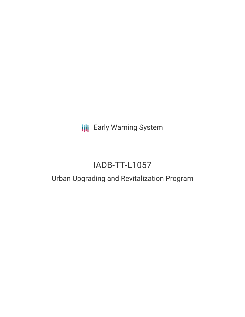# **III** Early Warning System

# IADB-TT-L1057

## Urban Upgrading and Revitalization Program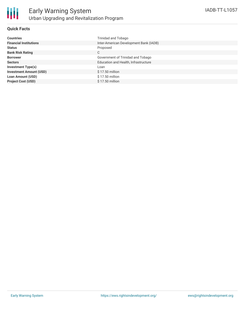

#### **Quick Facts**

| <b>Countries</b>               | Trinidad and Tobago                    |
|--------------------------------|----------------------------------------|
| <b>Financial Institutions</b>  | Inter-American Development Bank (IADB) |
| <b>Status</b>                  | Proposed                               |
| <b>Bank Risk Rating</b>        | C                                      |
| <b>Borrower</b>                | Government of Trinidad and Tobago      |
| <b>Sectors</b>                 | Education and Health, Infrastructure   |
| <b>Investment Type(s)</b>      | Loan                                   |
| <b>Investment Amount (USD)</b> | $$17.50$ million                       |
| <b>Loan Amount (USD)</b>       | $$17.50$ million                       |
| <b>Project Cost (USD)</b>      | \$17.50 million                        |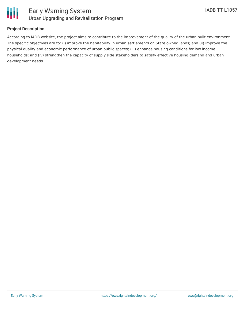

#### **Project Description**

According to IADB website, the project aims to contribute to the improvement of the quality of the urban built environment. The specific objectives are to: (i) improve the habitability in urban settlements on State owned lands; and (ii) improve the physical quality and economic performance of urban public spaces; (iii) enhance housing conditions for low income households; and (iv) strengthen the capacity of supply side stakeholders to satisfy effective housing demand and urban development needs.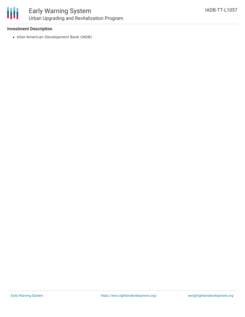

### Early Warning System Urban Upgrading and Revitalization Program

#### **Investment Description**

• Inter-American Development Bank (IADB)